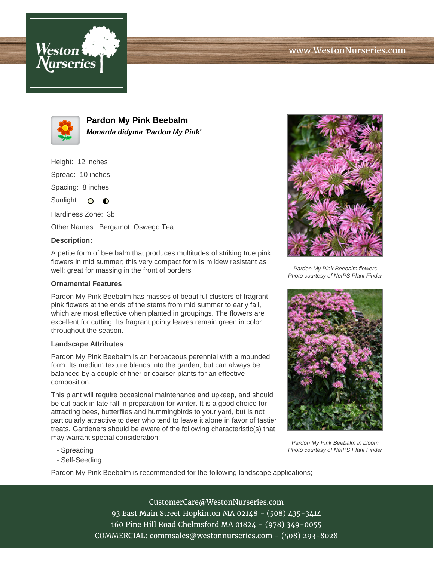



**Pardon My Pink Beebalm Monarda didyma 'Pardon My Pink'**

Height: 12 inches Spread: 10 inches Spacing: 8 inches

Sunlight:  $\circ$   $\bullet$ 

Hardiness Zone: 3b Other Names: Bergamot, Oswego Tea

## **Description:**

A petite form of bee balm that produces multitudes of striking true pink flowers in mid summer; this very compact form is mildew resistant as well; great for massing in the front of borders

## **Ornamental Features**

Pardon My Pink Beebalm has masses of beautiful clusters of fragrant pink flowers at the ends of the stems from mid summer to early fall, which are most effective when planted in groupings. The flowers are excellent for cutting. Its fragrant pointy leaves remain green in color throughout the season.

## **Landscape Attributes**

Pardon My Pink Beebalm is an herbaceous perennial with a mounded form. Its medium texture blends into the garden, but can always be balanced by a couple of finer or coarser plants for an effective composition.

This plant will require occasional maintenance and upkeep, and should be cut back in late fall in preparation for winter. It is a good choice for attracting bees, butterflies and hummingbirds to your yard, but is not particularly attractive to deer who tend to leave it alone in favor of tastier treats. Gardeners should be aware of the following characteristic(s) that may warrant special consideration;

Pardon My Pink Beebalm flowers Photo courtesy of NetPS Plant Finder



Pardon My Pink Beebalm in bloom Photo courtesy of NetPS Plant Finder

- Spreading
- Self-Seeding

Pardon My Pink Beebalm is recommended for the following landscape applications;

CustomerCare@WestonNurseries.com 93 East Main Street Hopkinton MA 02148 - (508) 435-3414 160 Pine Hill Road Chelmsford MA 01824 - (978) 349-0055 COMMERCIAL: commsales@westonnurseries.com - (508) 293-8028